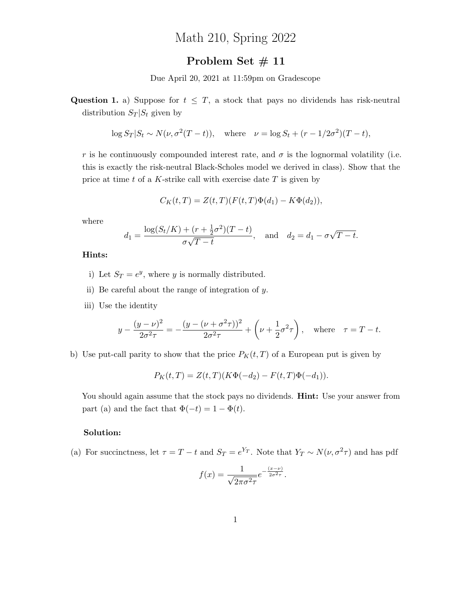# Math 210, Spring 2022

## Problem Set # 11

Due April 20, 2021 at 11:59pm on Gradescope

Question 1. a) Suppose for  $t \leq T$ , a stock that pays no dividends has risk-neutral distribution  $S_T | S_t$  given by

$$
\log S_T | S_t \sim N(\nu, \sigma^2(T - t)), \quad \text{where} \quad \nu = \log S_t + (r - 1/2\sigma^2)(T - t),
$$

r is he continuously compounded interest rate, and  $\sigma$  is the lognormal volatility (i.e. this is exactly the risk-neutral Black-Scholes model we derived in class). Show that the price at time t of a K-strike call with exercise date  $T$  is given by

$$
C_K(t,T) = Z(t,T)(F(t,T)\Phi(d_1) - K\Phi(d_2)),
$$

where

$$
d_1 = \frac{\log(S_t/K) + (r + \frac{1}{2}\sigma^2)(T - t)}{\sigma\sqrt{T - t}}, \text{ and } d_2 = d_1 - \sigma\sqrt{T - t}.
$$

#### Hints:

- i) Let  $S_T = e^y$ , where y is normally distributed.
- ii) Be careful about the range of integration of  $y$ .
- iii) Use the identity

$$
y - \frac{(y - \nu)^2}{2\sigma^2 \tau} = -\frac{(y - (\nu + \sigma^2 \tau))^2}{2\sigma^2 \tau} + \left(\nu + \frac{1}{2}\sigma^2 \tau\right), \text{ where } \tau = T - t.
$$

b) Use put-call parity to show that the price  $P_K(t,T)$  of a European put is given by

$$
P_K(t,T) = Z(t,T)(K\Phi(-d_2) - F(t,T)\Phi(-d_1)).
$$

You should again assume that the stock pays no dividends. **Hint:** Use your answer from part (a) and the fact that  $\Phi(-t) = 1 - \Phi(t)$ .

#### Solution:

(a) For succinctness, let  $\tau = T - t$  and  $S_T = e^{Y_T}$ . Note that  $Y_T \sim N(\nu, \sigma^2 \tau)$  and has pdf

$$
f(x) = \frac{1}{\sqrt{2\pi\sigma^2\tau}} e^{-\frac{(x-\nu)}{2\sigma^2\tau}}.
$$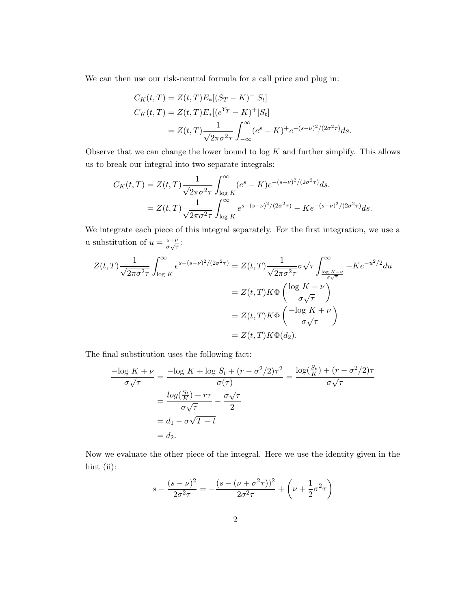We can then use our risk-neutral formula for a call price and plug in:

$$
C_K(t,T) = Z(t,T)E_*[(S_T - K)^+|S_t]
$$
  
\n
$$
C_K(t,T) = Z(t,T)E_*[(e^{Y_T} - K)^+|S_t]
$$
  
\n
$$
= Z(t,T)\frac{1}{\sqrt{2\pi\sigma^2\tau}}\int_{-\infty}^{\infty} (e^s - K)^+e^{-(s-\nu)^2/(2\sigma^2\tau)}ds.
$$

Observe that we can change the lower bound to  $\log K$  and further simplify. This allows us to break our integral into two separate integrals:

$$
C_K(t,T) = Z(t,T) \frac{1}{\sqrt{2\pi\sigma^2\tau}} \int_{\log K}^{\infty} (e^s - K) e^{-(s-\nu)^2/(2\sigma^2\tau)} ds.
$$
  
=  $Z(t,T) \frac{1}{\sqrt{2\pi\sigma^2\tau}} \int_{\log K}^{\infty} e^{s-(s-\nu)^2/(2\sigma^2\tau)} - K e^{-(s-\nu)^2/(2\sigma^2\tau)} ds.$ 

We integrate each piece of this integral separately. For the first integration, we use a u-substitution of  $u = \frac{s - \nu}{\sigma}$  $\frac{s-\nu}{\sigma\sqrt{\tau}}$ :

$$
Z(t,T)\frac{1}{\sqrt{2\pi\sigma^2\tau}}\int_{\log K}^{\infty} e^{s-(s-\nu)^2/(2\sigma^2\tau)} = Z(t,T)\frac{1}{\sqrt{2\pi\sigma^2\tau}}\sigma\sqrt{\tau}\int_{\frac{\log K-\nu}{\sigma\sqrt{\tau}}}^{\infty} -Ke^{-u^2/2}du
$$
  

$$
= Z(t,T)K\Phi\left(\frac{\log K-\nu}{\sigma\sqrt{\tau}}\right)
$$
  

$$
= Z(t,T)K\Phi\left(\frac{-\log K+\nu}{\sigma\sqrt{\tau}}\right)
$$
  

$$
= Z(t,T)K\Phi(d_2).
$$

The final substitution uses the following fact:

$$
\frac{-\log K + \nu}{\sigma \sqrt{\tau}} = \frac{-\log K + \log S_t + (r - \sigma^2/2)\tau^2}{\sigma(\tau)} = \frac{\log(\frac{S_t}{K}) + (r - \sigma^2/2)\tau}{\sigma \sqrt{\tau}}
$$

$$
= \frac{\log(\frac{S_t}{K}) + r\tau}{\sigma \sqrt{\tau}} - \frac{\sigma \sqrt{\tau}}{2}
$$

$$
= d_1 - \sigma \sqrt{T - t}
$$

$$
= d_2.
$$

Now we evaluate the other piece of the integral. Here we use the identity given in the hint (ii):

$$
s - \frac{(s - \nu)^2}{2\sigma^2 \tau} = -\frac{(s - (\nu + \sigma^2 \tau))^2}{2\sigma^2 \tau} + \left(\nu + \frac{1}{2}\sigma^2 \tau\right)
$$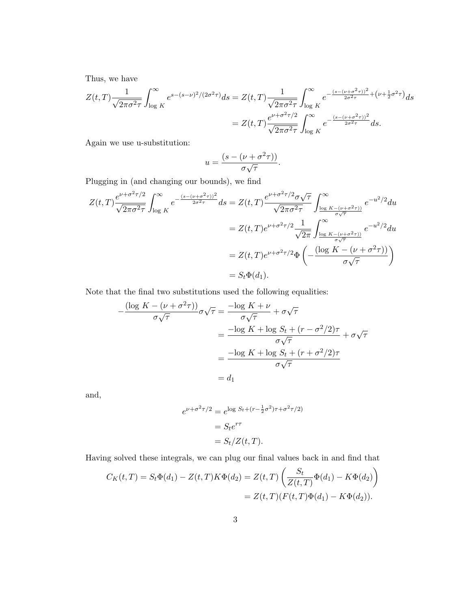Thus, we have

$$
Z(t,T)\frac{1}{\sqrt{2\pi\sigma^2\tau}}\int_{\log K}^{\infty} e^{s-(s-\nu)^2/(2\sigma^2\tau)}ds = Z(t,T)\frac{1}{\sqrt{2\pi\sigma^2\tau}}\int_{\log K}^{\infty} e^{-\frac{(s-(\nu+\sigma^2\tau))^2}{2\sigma^2\tau}+(\nu+\frac{1}{2}\sigma^2\tau)}ds
$$
  
=  $Z(t,T)\frac{e^{\nu+\sigma^2\tau/2}}{\sqrt{2\pi\sigma^2\tau}}\int_{\log K}^{\infty} e^{-\frac{(s-(\nu+\sigma^2\tau))^2}{2\sigma^2\tau}}ds.$ 

Again we use u-substitution:

$$
u = \frac{(s - (\nu + \sigma^2 \tau))}{\sigma \sqrt{\tau}}.
$$

Plugging in (and changing our bounds), we find

$$
Z(t,T)\frac{e^{\nu+\sigma^2\tau/2}}{\sqrt{2\pi\sigma^2\tau}}\int_{\log K}^{\infty}e^{-\frac{(s-(\nu+\sigma^2\tau))^2}{2\sigma^2\tau}}ds = Z(t,T)\frac{e^{\nu+\sigma^2\tau/2}\sigma\sqrt{\tau}}{\sqrt{2\pi\sigma^2\tau}}\int_{\frac{\log K-(\nu+\sigma^2\tau))}{\sigma\sqrt{\tau}}}^{\infty}e^{-u^2/2}du
$$
  

$$
= Z(t,T)e^{\nu+\sigma^2\tau/2}\frac{1}{\sqrt{2\pi}}\int_{\frac{\log K-(\nu+\sigma^2\tau))}{\sigma\sqrt{\tau}}}^{\infty}e^{-u^2/2}du
$$
  

$$
= Z(t,T)e^{\nu+\sigma^2\tau/2}\Phi\left(-\frac{(\log K-(\nu+\sigma^2\tau))}{\sigma\sqrt{\tau}}\right)
$$
  

$$
= S_t\Phi(d_1).
$$

Note that the final two substitutions used the following equalities:

$$
-\frac{(\log K - (\nu + \sigma^2 \tau))}{\sigma \sqrt{\tau}} \sigma \sqrt{\tau} = \frac{-\log K + \nu}{\sigma \sqrt{\tau}} + \sigma \sqrt{\tau}
$$

$$
= \frac{-\log K + \log S_t + (r - \sigma^2/2)\tau}{\sigma \sqrt{\tau}} + \sigma \sqrt{\tau}
$$

$$
= \frac{-\log K + \log S_t + (r + \sigma^2/2)\tau}{\sigma \sqrt{\tau}}
$$

$$
= d_1
$$

and,

$$
e^{\nu + \sigma^2 \tau/2} = e^{\log S_t + (r - \frac{1}{2}\sigma^2)\tau + \sigma^2 \tau/2}
$$

$$
= S_t e^{r\tau}
$$

$$
= S_t / Z(t, T).
$$

Having solved these integrals, we can plug our final values back in and find that

$$
C_K(t,T) = S_t \Phi(d_1) - Z(t,T) K \Phi(d_2) = Z(t,T) \left( \frac{S_t}{Z(t,T)} \Phi(d_1) - K \Phi(d_2) \right)
$$
  
= Z(t,T)(F(t,T) \Phi(d\_1) - K \Phi(d\_2)).